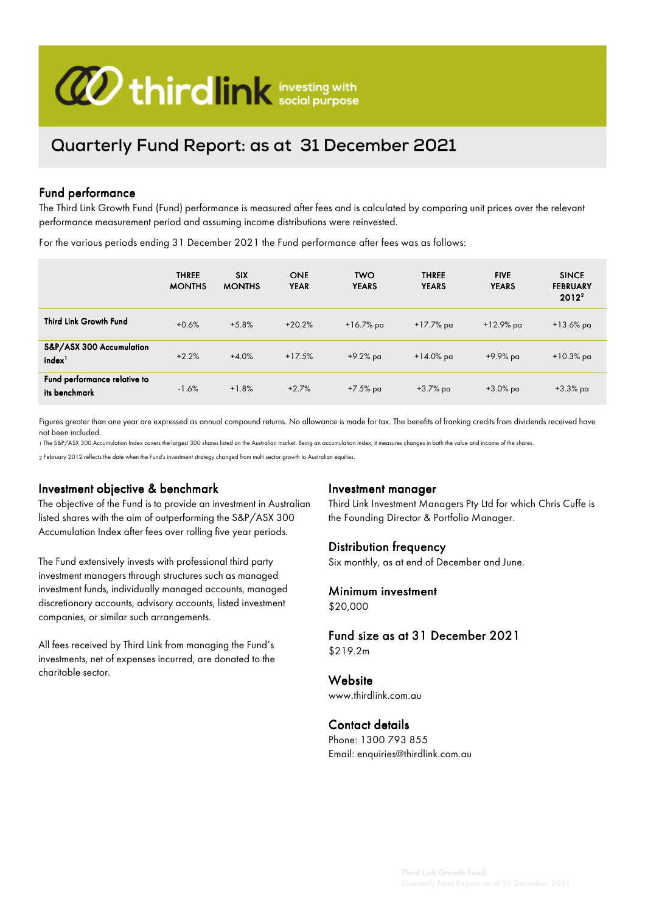

# Quarterly Fund Report: as at 31 December 2021

#### Fund performance

The Third Link Growth Fund (Fund) performance is measured after fees and is calculated by comparing unit prices over the relevant performance measurement period and assuming income distributions were reinvested.

For the various periods ending 31 December 2021 the Fund performance after fees was as follows:

|                                                | <b>THREE</b><br><b>MONTHS</b> | <b>SIX</b><br><b>MONTHS</b> | <b>ONE</b><br><b>YEAR</b> | <b>TWO</b><br><b>YEARS</b> | <b>THREE</b><br><b>YEARS</b> | <b>FIVE</b><br><b>YEARS</b> | <b>SINCE</b><br><b>FEBRUARY</b><br>$2012^2$ |
|------------------------------------------------|-------------------------------|-----------------------------|---------------------------|----------------------------|------------------------------|-----------------------------|---------------------------------------------|
| Third Link Growth Fund                         | $+0.6%$                       | $+5.8%$                     | $+20.2%$                  | $+16.7\%$ pa               | $+17.7\%$ pa                 | $+12.9\%$ pa                | $+13.6\%$ pa                                |
| S&P/ASX 300 Accumulation<br>index <sup>1</sup> | $+2.2%$                       | $+4.0%$                     | $+17.5%$                  | $+9.2\%$ pa                | $+14.0\%$ pa                 | +9.9% pa                    | $+10.3\%$ pa                                |
| Fund performance relative to<br>its benchmark  | $-1.6%$                       | $+1.8%$                     | $+2.7%$                   | +7.5% pa                   | $+3.7\%$ pa                  | +3.0% pa                    | $+3.3\%$ pa                                 |

Figures greater than one year are expressed as annual compound returns. No allowance is made for tax. The benefits of franking credits from dividends received have not been included.

1 The S&P/ASX 300 Accumulation Index covers the largest 300 shares listed on the Australian market. Being an accumulation index, it measures changes in both the value and income of the shares.

2 February 2012 reflects the date when the Fund's investment strategy changed from multi sector growth to Australian equities.

#### Investment objective & benchmark

The objective of the Fund is to provide an investment in Australian listed shares with the aim of outperforming the S&P/ASX 300 Accumulation Index after fees over rolling five year periods.

The Fund extensively invests with professional third party investment managers through structures such as managed investment funds, individually managed accounts, managed discretionary accounts, advisory accounts, listed investment companies, or similar such arrangements.

All fees received by Third Link from managing the Fund's investments, net of expenses incurred, are donated to the charitable sector.

#### Investment manager

Third Link Investment Managers Pty Ltd for which Chris Cuffe is the Founding Director & Portfolio Manager.

#### Distribution frequency

Six monthly, as at end of December and June.

## Minimum investment

\$20,000

#### Fund size as at 31 December 2021 \$219.2m

**Website** www.thirdlink.com.au

#### Contact details

Phone: 1300 793 855 Email: enquiries@thirdlink.com.au